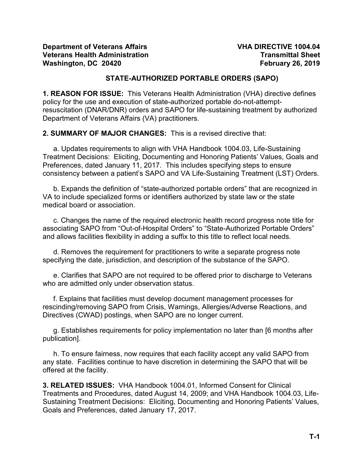# **STATE-AUTHORIZED PORTABLE ORDERS (SAPO)**

**1. REASON FOR ISSUE:** This Veterans Health Administration (VHA) directive defines policy for the use and execution of state-authorized portable do-not-attemptresuscitation (DNAR/DNR) orders and SAPO for life-sustaining treatment by authorized Department of Veterans Affairs (VA) practitioners.

**2. SUMMARY OF MAJOR CHANGES:** This is a revised directive that:

a. Updates requirements to align with VHA Handbook 1004.03, Life-Sustaining Treatment Decisions: Eliciting, Documenting and Honoring Patients' Values, Goals and Preferences, dated January 11, 2017. This includes specifying steps to ensure consistency between a patient's SAPO and VA Life-Sustaining Treatment (LST) Orders.

b. Expands the definition of "state-authorized portable orders" that are recognized in VA to include specialized forms or identifiers authorized by state law or the state medical board or association.

c. Changes the name of the required electronic health record progress note title for associating SAPO from "Out-of-Hospital Orders" to "State-Authorized Portable Orders" and allows facilities flexibility in adding a suffix to this title to reflect local needs.

d. Removes the requirement for practitioners to write a separate progress note specifying the date, jurisdiction, and description of the substance of the SAPO.

e. Clarifies that SAPO are not required to be offered prior to discharge to Veterans who are admitted only under observation status.

f. Explains that facilities must develop document management processes for rescinding/removing SAPO from Crisis, Warnings, Allergies/Adverse Reactions, and Directives (CWAD) postings, when SAPO are no longer current.

g. Establishes requirements for policy implementation no later than [6 months after publication].

h. To ensure fairness, now requires that each facility accept any valid SAPO from any state. Facilities continue to have discretion in determining the SAPO that will be offered at the facility.

**3. RELATED ISSUES:** [VHA Handbook 1004.01, Informed Consent for Clinical](#page-11-0)  [Treatments and Procedures,](#page-11-0) dated August 14, 2009; and [VHA Handbook 1004.03,](#page-11-1) Life-[Sustaining Treatment Decisions: Eliciting, Documenting and Honoring Patients' Values,](#page-11-1)  [Goals and Preferences,](#page-11-1) dated January 17, 2017.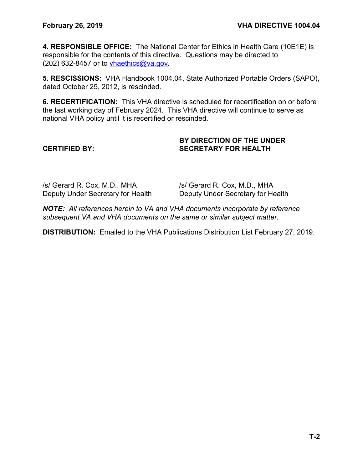**4. RESPONSIBLE OFFICE:** The National Center for Ethics in Health Care (10E1E) is responsible for the contents of this directive. Questions may be directed to (202) 632-8457 or to [vhaethics@va.gov.](mailto:vhaethics@va.gov)

**5. RESCISSIONS:** VHA Handbook 1004.04, State Authorized Portable Orders (SAPO), dated October 25, 2012, is rescinded.

**6. RECERTIFICATION:** This VHA directive is scheduled for recertification on or before the last working day of February 2024. This VHA directive will continue to serve as national VHA policy until it is recertified or rescinded.

# **BY DIRECTION OF THE UNDER CERTIFIED BY: SECRETARY FOR HEALTH**

/s/ Gerard R. Cox, M.D., MHA /s/ Gerard R. Cox, M.D., MHA

Deputy Under Secretary for Health Deputy Under Secretary for Health

*NOTE: All references herein to VA and VHA documents incorporate by reference subsequent VA and VHA documents on the same or similar subject matter.*

**DISTRIBUTION:** Emailed to the VHA Publications Distribution List February 27, 2019.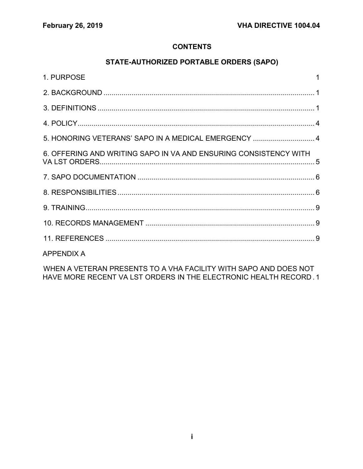# **CONTENTS**

# STATE-AUTHORIZED PORTABLE ORDERS (SAPO)

| 1. PURPOSE                                                       |  |
|------------------------------------------------------------------|--|
|                                                                  |  |
|                                                                  |  |
|                                                                  |  |
| 5. HONORING VETERANS' SAPO IN A MEDICAL EMERGENCY  4             |  |
| 6. OFFERING AND WRITING SAPO IN VA AND ENSURING CONSISTENCY WITH |  |
|                                                                  |  |
|                                                                  |  |
|                                                                  |  |
|                                                                  |  |
|                                                                  |  |
| <b>APPENDIX A</b>                                                |  |
|                                                                  |  |

WHEN A VETERAN PRESENTS TO A VHA FACILITY WITH SAPO AND DOES NOT HAVE MORE RECENT VA LST ORDERS IN THE ELECTRONIC HEALTH RECORD. 1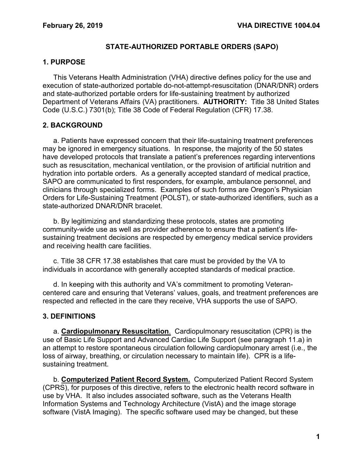# **STATE-AUTHORIZED PORTABLE ORDERS (SAPO)**

# <span id="page-3-0"></span>**1. PURPOSE**

This Veterans Health Administration (VHA) directive defines policy for the use and execution of state-authorized portable do-not-attempt-resuscitation (DNAR/DNR) orders and state-authorized portable orders for life-sustaining treatment by authorized Department of Veterans Affairs (VA) practitioners. **AUTHORITY:** Title 38 United States Code (U.S.C.) 7301(b); Title 38 Code of Federal Regulation (CFR) 17.38.

# <span id="page-3-1"></span>**2. BACKGROUND**

a. Patients have expressed concern that their life-sustaining treatment preferences may be ignored in emergency situations. In response, the majority of the 50 states have developed protocols that translate a patient's preferences regarding interventions such as resuscitation, mechanical ventilation, or the provision of artificial nutrition and hydration into portable orders. As a generally accepted standard of medical practice, SAPO are communicated to first responders, for example, ambulance personnel, and clinicians through specialized forms. Examples of such forms are Oregon's Physician Orders for Life-Sustaining Treatment (POLST), or state-authorized identifiers, such as a state-authorized DNAR/DNR bracelet.

b. By legitimizing and standardizing these protocols, states are promoting community-wide use as well as provider adherence to ensure that a patient's lifesustaining treatment decisions are respected by emergency medical service providers and receiving health care facilities.

c. Title 38 CFR 17.38 establishes that care must be provided by the VA to individuals in accordance with generally accepted standards of medical practice.

d. In keeping with this authority and VA's commitment to promoting Veterancentered care and ensuring that Veterans' values, goals, and treatment preferences are respected and reflected in the care they receive, VHA supports the use of SAPO.

# <span id="page-3-2"></span>**3. DEFINITIONS**

a. **Cardiopulmonary Resuscitation**. Cardiopulmonary resuscitation (CPR) is the use of Basic Life Support and Advanced Cardiac Life Support (see paragraph [11.a\)](#page-11-5) in an attempt to restore spontaneous circulation following cardiopulmonary arrest (i.e., the loss of airway, breathing, or circulation necessary to maintain life). CPR is a lifesustaining treatment.

b. **Computerized Patient Record System.** Computerized Patient Record System (CPRS), for purposes of this directive, refers to the electronic health record software in use by VHA. It also includes associated software, such as the Veterans Health Information Systems and Technology Architecture (VistA) and the image storage software (VistA Imaging). The specific software used may be changed, but these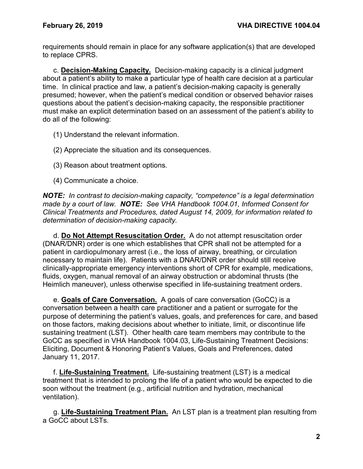requirements should remain in place for any software application(s) that are developed to replace CPRS.

c. **Decision-Making Capacity.** Decision-making capacity is a clinical judgment about a patient's ability to make a particular type of health care decision at a particular time. In clinical practice and law, a patient's decision-making capacity is generally presumed; however, when the patient's medical condition or observed behavior raises questions about the patient's decision-making capacity, the responsible practitioner must make an explicit determination based on an assessment of the patient's ability to do all of the following:

- (1) Understand the relevant information.
- (2) Appreciate the situation and its consequences.
- (3) Reason about treatment options.
- (4) Communicate a choice.

*NOTE: In contrast to decision-making capacity, "competence" is a legal determination made by a court of law. NOTE: See VHA Handbook 1004.01, Informed Consent for Clinical Treatments and Procedures, dated August 14, 2009, for information related to determination of decision-making capacity.*

d. **Do Not Attempt Resuscitation Order.** A do not attempt resuscitation order (DNAR/DNR) order is one which establishes that CPR shall not be attempted for a patient in cardiopulmonary arrest (i.e., the loss of airway, breathing, or circulation necessary to maintain life). Patients with a DNAR/DNR order should still receive clinically-appropriate emergency interventions short of CPR for example, medications, fluids, oxygen, manual removal of an airway obstruction or abdominal thrusts (the Heimlich maneuver), unless otherwise specified in life-sustaining treatment orders.

e. **Goals of Care Conversation.** A goals of care conversation (GoCC) is a conversation between a health care practitioner and a patient or surrogate for the purpose of determining the patient's values, goals, and preferences for care, and based on those factors, making decisions about whether to initiate, limit, or discontinue life sustaining treatment (LST). Other health care team members may contribute to the GoCC as specified in VHA Handbook 1004.03, Life-Sustaining Treatment Decisions: Eliciting, Document & Honoring Patient's Values, Goals and Preferences, dated January 11, 2017.

f. **Life-Sustaining Treatment.** Life-sustaining treatment (LST) is a medical treatment that is intended to prolong the life of a patient who would be expected to die soon without the treatment (e.g., artificial nutrition and hydration, mechanical ventilation).

g. **Life-Sustaining Treatment Plan.** An LST plan is a treatment plan resulting from a GoCC about LSTs.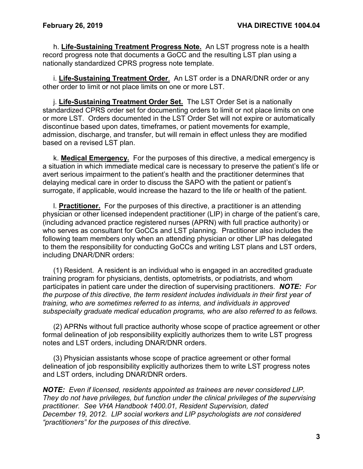h. **Life-Sustaining Treatment Progress Note.** An LST progress note is a health record progress note that documents a GoCC and the resulting LST plan using a nationally standardized CPRS progress note template.

i. **Life-Sustaining Treatment Order**. An LST order is a DNAR/DNR order or any other order to limit or not place limits on one or more LST.

j. **Life-Sustaining Treatment Order Set.** The LST Order Set is a nationally standardized CPRS order set for documenting orders to limit or not place limits on one or more LST. Orders documented in the LST Order Set will not expire or automatically discontinue based upon dates, timeframes, or patient movements for example, admission, discharge, and transfer, but will remain in effect unless they are modified based on a revised LST plan.

k. **Medical Emergency.** For the purposes of this directive, a medical emergency is a situation in which immediate medical care is necessary to preserve the patient's life or avert serious impairment to the patient's health and the practitioner determines that delaying medical care in order to discuss the SAPO with the patient or patient's surrogate, if applicable, would increase the hazard to the life or health of the patient.

l. **Practitioner.** For the purposes of this directive, a practitioner is an attending physician or other licensed independent practitioner (LIP) in charge of the patient's care, (including advanced practice registered nurses (APRN) with full practice authority) or who serves as consultant for GoCCs and LST planning. Practitioner also includes the following team members only when an attending physician or other LIP has delegated to them the responsibility for conducting GoCCs and writing LST plans and LST orders, including DNAR/DNR orders:

(1) Resident. A resident is an individual who is engaged in an accredited graduate training program for physicians, dentists, optometrists, or podiatrists, and whom participates in patient care under the direction of supervising practitioners. *NOTE: For the purpose of this directive, the term resident includes individuals in their first year of training, who are sometimes referred to as interns, and individuals in approved subspecialty graduate medical education programs, who are also referred to as fellows.*

(2) APRNs without full practice authority whose scope of practice agreement or other formal delineation of job responsibility explicitly authorizes them to write LST progress notes and LST orders, including DNAR/DNR orders.

(3) Physician assistants whose scope of practice agreement or other formal delineation of job responsibility explicitly authorizes them to write LST progress notes and LST orders, including DNAR/DNR orders.

*NOTE: Even if licensed, residents appointed as trainees are never considered LIP. They do not have privileges, but function under the clinical privileges of the supervising practitioner. See VHA Handbook 1400.01, Resident Supervision, dated December 19, 2012. LIP social workers and LIP psychologists are not considered "practitioners" for the purposes of this directive.*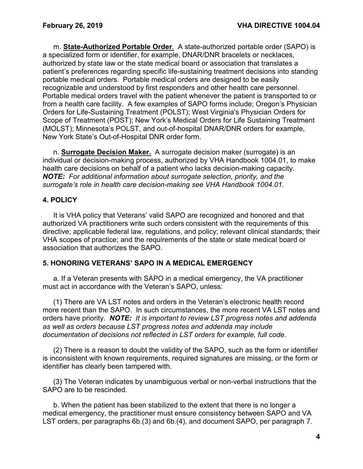m. **State-Authorized Portable Order**. A state-authorized portable order (SAPO) is a specialized form or identifier, for example, DNAR/DNR bracelets or necklaces, authorized by state law or the state medical board or association that translates a patient's preferences regarding specific life-sustaining treatment decisions into standing portable medical orders. Portable medical orders are designed to be easily recognizable and understood by first responders and other health care personnel. Portable medical orders travel with the patient whenever the patient is transported to or from a health care facility. A few examples of SAPO forms include; Oregon's Physician Orders for Life-Sustaining Treatment (POLST); West Virginia's Physician Orders for Scope of Treatment (POST); New York's Medical Orders for Life Sustaining Treatment (MOLST); Minnesota's POLST, and out-of-hospital DNAR/DNR orders for example, New York State's Out-of-Hospital DNR order form.

n. **Surrogate Decision Maker.** A surrogate decision maker (surrogate) is an individual or decision-making process, authorized by VHA Handbook 1004.01, to make health care decisions on behalf of a patient who lacks decision-making capacity. *NOTE: For additional information about surrogate selection, priority, and the surrogate's role in health care decision-making see VHA Handbook 1004.01.*

# <span id="page-6-0"></span>**4. POLICY**

It is VHA policy that Veterans' valid SAPO are recognized and honored and that authorized VA practitioners write such orders consistent with the requirements of this directive; applicable federal law, regulations, and policy; relevant clinical standards; their VHA scopes of practice; and the requirements of the state or state medical board or association that authorizes the SAPO.

## <span id="page-6-1"></span>**5. HONORING VETERANS' SAPO IN A MEDICAL EMERGENCY**

a. If a Veteran presents with SAPO in a medical emergency, the VA practitioner must act in accordance with the Veteran's SAPO, unless:

(1) There are VA LST notes and orders in the Veteran's electronic health record more recent than the SAPO. In such circumstances, the more recent VA LST notes and orders have priority. *NOTE: It is important to review LST progress notes and addenda as well as orders because LST progress notes and addenda may include documentation of decisions not reflected in LST orders for example, full code*.

(2) There is a reason to doubt the validity of the SAPO, such as the form or identifier is inconsistent with known requirements, required signatures are missing, or the form or identifier has clearly been tampered with.

(3) The Veteran indicates by unambiguous verbal or non-verbal instructions that the SAPO are to be rescinded.

b. When the patient has been stabilized to the extent that there is no longer a medical emergency, the practitioner must ensure consistency between SAPO and VA LST orders, per paragraphs 6b.(3) and 6b.(4), and document SAPO, per paragraph 7.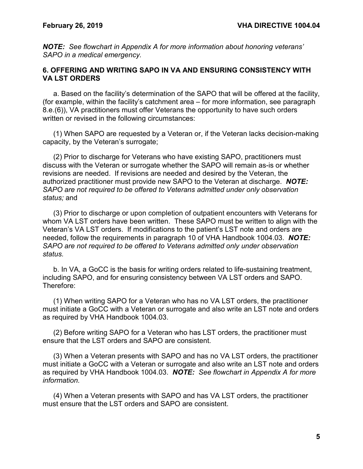*NOTE: See flowchart in Appendix A for more information about honoring veterans' SAPO in a medical emergency.* 

### <span id="page-7-0"></span>**6. OFFERING AND WRITING SAPO IN VA AND ENSURING CONSISTENCY WITH VA LST ORDERS**

a. Based on the facility's determination of the SAPO that will be offered at the facility, (for example, within the facility's catchment area – for more information, see paragraph [8.e.\(6\)\)](#page-10-0), VA practitioners must offer Veterans the opportunity to have such orders written or revised in the following circumstances:

(1) When SAPO are requested by a Veteran or, if the Veteran lacks decision-making capacity, by the Veteran's surrogate;

(2) Prior to discharge for Veterans who have existing SAPO, practitioners must discuss with the Veteran or surrogate whether the SAPO will remain as-is or whether revisions are needed. If revisions are needed and desired by the Veteran, the authorized practitioner must provide new SAPO to the Veteran at discharge. *NOTE: SAPO are not required to be offered to Veterans admitted under only observation status;* and

(3) Prior to discharge or upon completion of outpatient encounters with Veterans for whom VA LST orders have been written. These SAPO must be written to align with the Veteran's VA LST orders. If modifications to the patient's LST note and orders are needed, follow the requirements in paragraph 10 of VHA Handbook 1004.03. *NOTE: SAPO are not required to be offered to Veterans admitted only under observation status.*

b. In VA, a GoCC is the basis for writing orders related to life-sustaining treatment, including SAPO, and for ensuring consistency between VA LST orders and SAPO. Therefore:

(1) When writing SAPO for a Veteran who has no VA LST orders, the practitioner must initiate a GoCC with a Veteran or surrogate and also write an LST note and orders as required by VHA Handbook 1004.03.

(2) Before writing SAPO for a Veteran who has LST orders, the practitioner must ensure that the LST orders and SAPO are consistent.

(3) When a Veteran presents with SAPO and has no VA LST orders, the practitioner must initiate a GoCC with a Veteran or surrogate and also write an LST note and orders as required by VHA Handbook 1004.03. *NOTE: See flowchart in Appendix A for more information.*

(4) When a Veteran presents with SAPO and has VA LST orders, the practitioner must ensure that the LST orders and SAPO are consistent.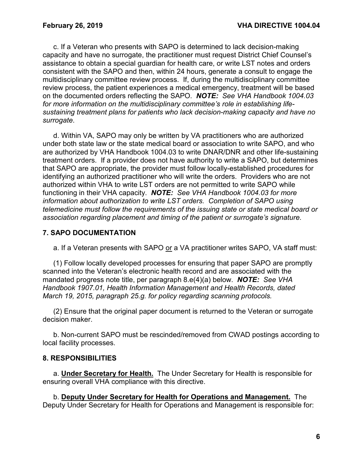c. If a Veteran who presents with SAPO is determined to lack decision-making capacity and have no surrogate, the practitioner must request District Chief Counsel's assistance to obtain a special guardian for health care, or write LST notes and orders consistent with the SAPO and then, within 24 hours, generate a consult to engage the multidisciplinary committee review process. If, during the multidisciplinary committee review process, the patient experiences a medical emergency, treatment will be based on the documented orders reflecting the SAPO. *NOTE: See VHA Handbook 1004.03 for more information on the multidisciplinary committee's role in establishing lifesustaining treatment plans for patients who lack decision-making capacity and have no surrogate*.

d. Within VA, SAPO may only be written by VA practitioners who are authorized under both state law or the state medical board or association to write SAPO, and who are authorized by VHA Handbook 1004.03 to write DNAR/DNR and other life-sustaining treatment orders. If a provider does not have authority to write a SAPO, but determines that SAPO are appropriate, the provider must follow locally-established procedures for identifying an authorized practitioner who will write the orders. Providers who are not authorized within VHA to write LST orders are not permitted to write SAPO while functioning in their VHA capacity. *NOTE: See VHA Handbook 1004.03 for more information about authorization to write LST orders. Completion of SAPO using telemedicine must follow the requirements of the issuing state or state medical board or association regarding placement and timing of the patient or surrogate's signature.*

# <span id="page-8-0"></span>**7. SAPO DOCUMENTATION**

a. If a Veteran presents with SAPO or a VA practitioner writes SAPO, VA staff must:

(1) Follow locally developed processes for ensuring that paper SAPO are promptly scanned into the Veteran's electronic health record and are associated with the mandated progress note title, per paragraph [8.e\(4\)\(a\)](#page-9-0) below. *NOTE: See VHA Handbook 1907.01, Health Information Management and Health Records, dated March 19, 2015, paragraph 25.g. for policy regarding scanning protocols.*

(2) Ensure that the original paper document is returned to the Veteran or surrogate decision maker.

b. Non-current SAPO must be rescinded/removed from CWAD postings according to local facility processes.

## <span id="page-8-1"></span>**8. RESPONSIBILITIES**

a. **Under Secretary for Health.** The Under Secretary for Health is responsible for ensuring overall VHA compliance with this directive.

b. **Deputy Under Secretary for Health for Operations and Management.** The Deputy Under Secretary for Health for Operations and Management is responsible for: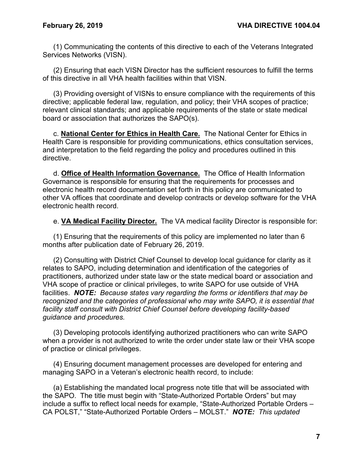(1) Communicating the contents of this directive to each of the Veterans Integrated Services Networks (VISN).

(2) Ensuring that each VISN Director has the sufficient resources to fulfill the terms of this directive in all VHA health facilities within that VISN.

(3) Providing oversight of VISNs to ensure compliance with the requirements of this directive; applicable federal law, regulation, and policy; their VHA scopes of practice; relevant clinical standards; and applicable requirements of the state or state medical board or association that authorizes the SAPO(s).

c. **National Center for Ethics in Health Care.** The National Center for Ethics in Health Care is responsible for providing communications, ethics consultation services, and interpretation to the field regarding the policy and procedures outlined in this directive.

d. **Office of Health Information Governance.** The Office of Health Information Governance is responsible for ensuring that the requirements for processes and electronic health record documentation set forth in this policy are communicated to other VA offices that coordinate and develop contracts or develop software for the VHA electronic health record.

e. **VA Medical Facility Director.** The VA medical facility Director is responsible for:

(1) Ensuring that the requirements of this policy are implemented no later than 6 months after publication date of February 26, 2019.

(2) Consulting with District Chief Counsel to develop local guidance for clarity as it relates to SAPO, including determination and identification of the categories of practitioners, authorized under state law or the state medical board or association and VHA scope of practice or clinical privileges, to write SAPO for use outside of VHA facilities. *NOTE: Because states vary regarding the forms or identifiers that may be recognized and the categories of professional who may write SAPO, it is essential that facility staff consult with District Chief Counsel before developing facility-based guidance and procedures.*

(3) Developing protocols identifying authorized practitioners who can write SAPO when a provider is not authorized to write the order under state law or their VHA scope of practice or clinical privileges.

(4) Ensuring document management processes are developed for entering and managing SAPO in a Veteran's electronic health record, to include:

<span id="page-9-0"></span>(a) Establishing the mandated local progress note title that will be associated with the SAPO. The title must begin with "State-Authorized Portable Orders" but may include a suffix to reflect local needs for example, "State-Authorized Portable Orders – CA POLST," "State-Authorized Portable Orders – MOLST." *NOTE: This updated*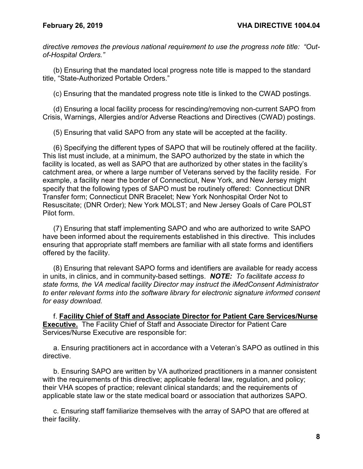*directive removes the previous national requirement to use the progress note title: "Outof-Hospital Orders."*

(b) Ensuring that the mandated local progress note title is mapped to the standard title, "State-Authorized Portable Orders."

(c) Ensuring that the mandated progress note title is linked to the CWAD postings.

(d) Ensuring a local facility process for rescinding/removing non-current SAPO from Crisis, Warnings, Allergies and/or Adverse Reactions and Directives (CWAD) postings.

(5) Ensuring that valid SAPO from any state will be accepted at the facility.

<span id="page-10-0"></span>(6) Specifying the different types of SAPO that will be routinely offered at the facility. This list must include, at a minimum, the SAPO authorized by the state in which the facility is located, as well as SAPO that are authorized by other states in the facility's catchment area, or where a large number of Veterans served by the facility reside. For example, a facility near the border of Connecticut, New York, and New Jersey might specify that the following types of SAPO must be routinely offered: Connecticut DNR Transfer form; Connecticut DNR Bracelet; New York Nonhospital Order Not to Resuscitate; (DNR Order); New York MOLST; and New Jersey Goals of Care POLST Pilot form.

(7) Ensuring that staff implementing SAPO and who are authorized to write SAPO have been informed about the requirements established in this directive. This includes ensuring that appropriate staff members are familiar with all state forms and identifiers offered by the facility.

(8) Ensuring that relevant SAPO forms and identifiers are available for ready access in units, in clinics, and in community-based settings. *NOTE: To facilitate access to state forms, the VA medical facility Director may instruct the iMedConsent Administrator to enter relevant forms into the software library for electronic signature informed consent for easy download.*

f. **Facility Chief of Staff and Associate Director for Patient Care Services/Nurse Executive.** The Facility Chief of Staff and Associate Director for Patient Care Services/Nurse Executive are responsible for:

a. Ensuring practitioners act in accordance with a Veteran's SAPO as outlined in this directive.

b. Ensuring SAPO are written by VA authorized practitioners in a manner consistent with the requirements of this directive; applicable federal law, regulation, and policy; their VHA scopes of practice; relevant clinical standards; and the requirements of applicable state law or the state medical board or association that authorizes SAPO.

c. Ensuring staff familiarize themselves with the array of SAPO that are offered at their facility.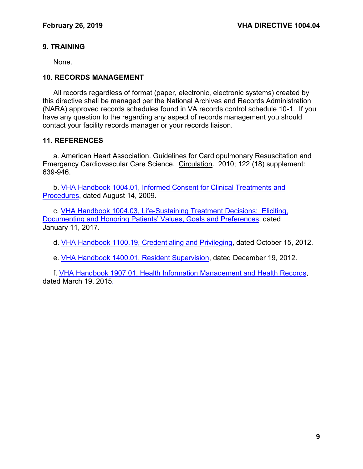# <span id="page-11-2"></span>**9. TRAINING**

None.

#### <span id="page-11-3"></span>**10. RECORDS MANAGEMENT**

All records regardless of format (paper, electronic, electronic systems) created by this directive shall be managed per the National Archives and Records Administration (NARA) approved records schedules found in VA records control schedule 10-1. If you have any question to the regarding any aspect of records management you should contact your facility records manager or your records liaison.

#### <span id="page-11-4"></span>**11. REFERENCES**

<span id="page-11-5"></span>a. American Heart Association. Guidelines for Cardiopulmonary Resuscitation and Emergency Cardiovascular Care Science. Circulation. 2010; 122 (18) supplement: 639-946.

<span id="page-11-0"></span>b. [VHA Handbook 1004.01, Informed Consent for Clinical Treatments and](https://www.va.gov/vhapublications/ViewPublication.asp?pub_ID=2055)  [Procedures, dated August 14, 2009.](https://www.va.gov/vhapublications/ViewPublication.asp?pub_ID=2055)

c. [VHA Handbook 1004.03, Life-Sustaining Treatment Decisions: Eliciting,](https://www.va.gov/vhapublications/ViewPublication.asp?pub_ID=4308)  [Documenting and Honoring Patients' Values, Goals and Preferences, dated](https://www.va.gov/vhapublications/ViewPublication.asp?pub_ID=4308)  [January](https://www.va.gov/vhapublications/ViewPublication.asp?pub_ID=4308) 11, 2017.

<span id="page-11-1"></span>d. [VHA Handbook 1100.19, Credentialing and Privileging,](https://www.va.gov/vhapublications/ViewPublication.asp?pub_ID=2910) dated October 15, 2012.

e. [VHA Handbook 1400.01, Resident Supervision,](https://www.va.gov/vhapublications/ViewPublication.asp?pub_ID=2847) dated December 19, 2012.

f. VHA Handbook 1907.01, Health [Information Management and Health Records,](https://www.va.gov/vhapublications/ViewPublication.asp?pub_ID=3088)  [dated March 19, 2015.](https://www.va.gov/vhapublications/ViewPublication.asp?pub_ID=3088)